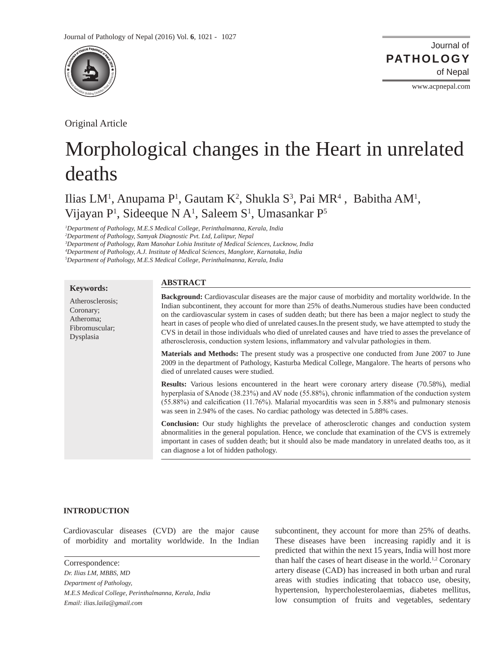

Original Article

Journal of of Nepal **PATHOLOGY**

www.acpnepal.com

# Morphological changes in the Heart in unrelated deaths

Ilias LM<sup>1</sup>, Anupama P<sup>1</sup>, Gautam K<sup>2</sup>, Shukla S<sup>3</sup>, Pai MR<sup>4</sup>, Babitha AM<sup>1</sup>, Vijayan P<sup>1</sup>, Sideeque N A<sup>1</sup>, Saleem S<sup>1</sup>, Umasankar P<sup>5</sup>

*1 Department of Pathology, M.E.S Medical College, Perinthalmanna, Kerala, India* 

*2 Department of Pathology, Samyak Diagnostic Pvt. Ltd, Lalitpur, Nepal* 

*3 Department of Pathology, Ram Manohar Lohia Institute of Medical Sciences, Lucknow, India* 

*4 Department of Pathology, A.J. Institute of Medical Sciences, Manglore, Karnataka, India* 

*5 Department of Pathology, M.E.S Medical College, Perinthalmanna, Kerala, India*

| <b>Keywords:</b>                                                          | <b>ABSTRACT</b>                                                                                                                                                                                                                                                                                                                                                                                                                                                                                                                                                                                                                                       |
|---------------------------------------------------------------------------|-------------------------------------------------------------------------------------------------------------------------------------------------------------------------------------------------------------------------------------------------------------------------------------------------------------------------------------------------------------------------------------------------------------------------------------------------------------------------------------------------------------------------------------------------------------------------------------------------------------------------------------------------------|
| Atherosclerosis;<br>Coronary;<br>Atheroma;<br>Fibromuscular;<br>Dysplasia | <b>Background:</b> Cardiovascular diseases are the major cause of morbidity and mortality worldwide. In the<br>Indian subcontinent, they account for more than 25% of deaths.Numerous studies have been conducted<br>on the cardiovascular system in cases of sudden death; but there has been a major neglect to study the<br>heart in cases of people who died of unrelated causes. In the present study, we have attempted to study the<br>CVS in detail in those individuals who died of unrelated causes and have tried to asses the prevelance of<br>atherosclerosis, conduction system lesions, inflammatory and valvular pathologies in them. |
|                                                                           | <b>Materials and Methods:</b> The present study was a prospective one conducted from June 2007 to June<br>2009 in the department of Pathology, Kasturba Medical College, Mangalore. The hearts of persons who<br>died of unrelated causes were studied.                                                                                                                                                                                                                                                                                                                                                                                               |
|                                                                           | <b>Results:</b> Various lesions encountered in the heart were coronary artery disease (70.58%), medial<br>hyperplasia of SAnode (38.23%) and AV node (55.88%), chronic inflammation of the conduction system<br>$(55.88%)$ and calcification $(11.76%)$ . Malarial myocarditis was seen in 5.88% and pulmonary stenosis<br>was seen in 2.94% of the cases. No cardiac pathology was detected in 5.88% cases.                                                                                                                                                                                                                                          |
|                                                                           | Conclusion: Our study highlights the prevelace of atherosclerotic changes and conduction system<br>abnormalities in the general population. Hence, we conclude that examination of the CVS is extremely<br>important in cases of sudden death; but it should also be made mandatory in unrelated deaths too, as it<br>can diagnose a lot of hidden pathology.                                                                                                                                                                                                                                                                                         |

#### **INTRODUCTION**

Cardiovascular diseases (CVD) are the major cause of morbidity and mortality worldwide. In the Indian

Correspondence: *Dr. Ilias LM, MBBS, MD Department of Pathology, M.E.S Medical College, Perinthalmanna, Kerala, India Email: ilias.laila@gmail.com*

subcontinent, they account for more than 25% of deaths. These diseases have been increasing rapidly and it is predicted that within the next 15 years, India will host more than half the cases of heart disease in the world.<sup>1,2</sup> Coronary artery disease (CAD) has increased in both urban and rural areas with studies indicating that tobacco use, obesity, hypertension, hypercholesterolaemias, diabetes mellitus, low consumption of fruits and vegetables, sedentary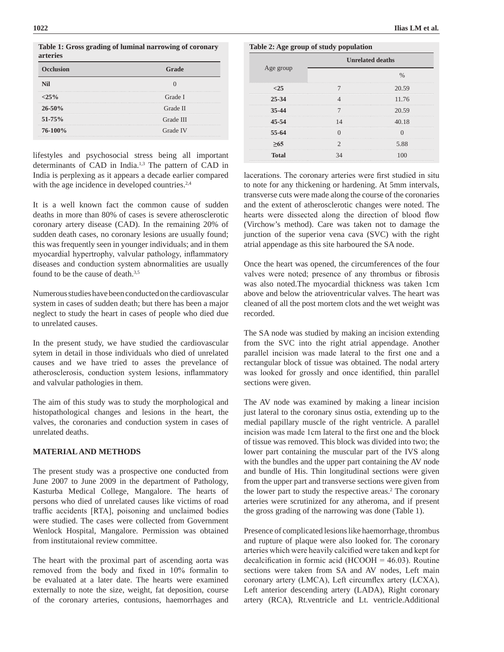**Table 1: Gross grading of luminal narrowing of coronary arteries** 

| <b>Occlusion</b> | $\Delta$ rade |
|------------------|---------------|
| Nil              |               |
| $25\%$           | Grade I       |
| $26 - 50%$       | Grade II      |
| $51 - 75%$       | Grade III     |
| $76-100\%$       | Grade IV      |

lifestyles and psychosocial stress being all important determinants of CAD in India.<sup>1,3</sup> The pattern of CAD in India is perplexing as it appears a decade earlier compared with the age incidence in developed countries.<sup>2,4</sup>

It is a well known fact the common cause of sudden deaths in more than 80% of cases is severe atherosclerotic coronary artery disease (CAD). In the remaining 20% of sudden death cases, no coronary lesions are usually found; this was frequently seen in younger individuals; and in them myocardial hypertrophy, valvular pathology, inflammatory diseases and conduction system abnormalities are usually found to be the cause of death.3,5

Numerous studies have been conducted on the cardiovascular system in cases of sudden death; but there has been a major neglect to study the heart in cases of people who died due to unrelated causes.

In the present study, we have studied the cardiovascular sytem in detail in those individuals who died of unrelated causes and we have tried to asses the prevelance of atherosclerosis, conduction system lesions, inflammatory and valvular pathologies in them.

The aim of this study was to study the morphological and histopathological changes and lesions in the heart, the valves, the coronaries and conduction system in cases of unrelated deaths.

#### **MATERIAL AND METHODS**

The present study was a prospective one conducted from June 2007 to June 2009 in the department of Pathology, Kasturba Medical College, Mangalore. The hearts of persons who died of unrelated causes like victims of road traffic accidents [RTA], poisoning and unclaimed bodies were studied. The cases were collected from Government Wenlock Hospital, Mangalore. Permission was obtained from institutaional review committee.

The heart with the proximal part of ascending aorta was removed from the body and fixed in 10% formalin to be evaluated at a later date. The hearts were examined externally to note the size, weight, fat deposition, course of the coronary arteries, contusions, haemorrhages and

**Table 2: Age group of study population**

|           | <b>Unrelated deaths</b> |       |  |  |  |  |  |
|-----------|-------------------------|-------|--|--|--|--|--|
| Age group |                         |       |  |  |  |  |  |
|           |                         | 20.59 |  |  |  |  |  |
| $25 - 34$ |                         | 11.76 |  |  |  |  |  |
| 35-44     |                         | 20.59 |  |  |  |  |  |
| 45-54     |                         | 40.18 |  |  |  |  |  |
| 55-64     |                         |       |  |  |  |  |  |
|           |                         |       |  |  |  |  |  |
| Total     |                         |       |  |  |  |  |  |

lacerations. The coronary arteries were first studied in situ to note for any thickening or hardening. At 5mm intervals, transverse cuts were made along the course of the coronaries and the extent of atherosclerotic changes were noted. The hearts were dissected along the direction of blood flow (Virchow's method). Care was taken not to damage the junction of the superior vena cava (SVC) with the right atrial appendage as this site harboured the SA node.

Once the heart was opened, the circumferences of the four valves were noted; presence of any thrombus or fibrosis was also noted.The myocardial thickness was taken 1cm above and below the atrioventricular valves. The heart was cleaned of all the post mortem clots and the wet weight was recorded.

The SA node was studied by making an incision extending from the SVC into the right atrial appendage. Another parallel incision was made lateral to the first one and a rectangular block of tissue was obtained. The nodal artery was looked for grossly and once identified, thin parallel sections were given.

The AV node was examined by making a linear incision just lateral to the coronary sinus ostia, extending up to the medial papillary muscle of the right ventricle. A parallel incision was made 1cm lateral to the first one and the block of tissue was removed. This block was divided into two; the lower part containing the muscular part of the IVS along with the bundles and the upper part containing the AV node and bundle of His. Thin longitudinal sections were given from the upper part and transverse sections were given from the lower part to study the respective areas.<sup>2</sup> The coronary arteries were scrutinized for any atheroma, and if present the gross grading of the narrowing was done (Table 1).

Presence of complicated lesions like haemorrhage, thrombus and rupture of plaque were also looked for. The coronary arteries which were heavily calcified were taken and kept for decalcification in formic acid (HCOOH =  $46.03$ ). Routine sections were taken from SA and AV nodes, Left main coronary artery (LMCA), Left circumflex artery (LCXA), Left anterior descending artery (LADA), Right coronary artery (RCA), Rt.ventricle and Lt. ventricle.Additional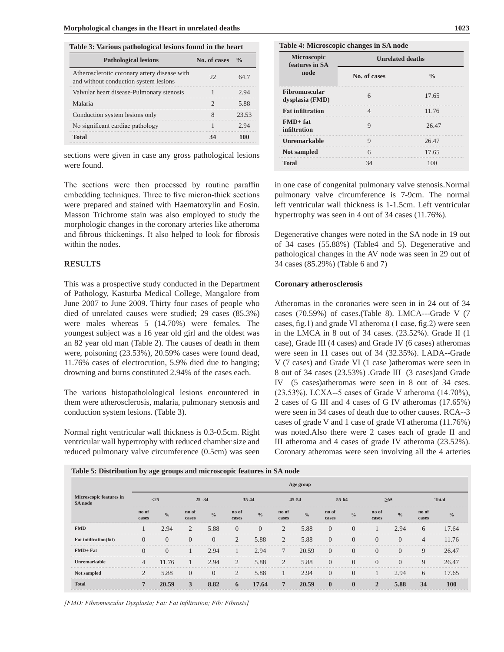|  |  | Table 3: Various pathological lesions found in the heart |
|--|--|----------------------------------------------------------|
|--|--|----------------------------------------------------------|

| <b>Pathological lesions</b>                                                           | No. of cases |       |
|---------------------------------------------------------------------------------------|--------------|-------|
| Atherosclerotic coronary artery disease with<br>and without conduction system lesions |              |       |
| Valvular heart disease-Pulmonary stenosis                                             |              |       |
| Malaria                                                                               |              |       |
| Conduction system lesions only                                                        |              | 23.53 |
| No significant cardiac pathology                                                      |              |       |
| Total                                                                                 |              |       |

sections were given in case any gross pathological lesions were found.

The sections were then processed by routine paraffin embedding techniques. Three to five micron-thick sections were prepared and stained with Haematoxylin and Eosin. Masson Trichrome stain was also employed to study the morphologic changes in the coronary arteries like atheroma and fibrous thickenings. It also helped to look for fibrosis within the nodes.

## **RESULTS**

This was a prospective study conducted in the Department of Pathology, Kasturba Medical College, Mangalore from June 2007 to June 2009. Thirty four cases of people who died of unrelated causes were studied; 29 cases (85.3%) were males whereas 5 (14.70%) were females. The youngest subject was a 16 year old girl and the oldest was an 82 year old man (Table 2). The causes of death in them were, poisoning (23.53%), 20.59% cases were found dead, 11.76% cases of electrocution, 5.9% died due to hanging; drowning and burns constituted 2.94% of the cases each.

The various histopatholological lesions encountered in them were atherosclerosis, malaria, pulmonary stenosis and conduction system lesions. (Table 3).

Normal right ventricular wall thickness is 0.3-0.5cm. Right ventricular wall hypertrophy with reduced chamber size and reduced pulmonary valve circumference (0.5cm) was seen

| Table 4: Microscopic changes in SA node |  |  |  |  |
|-----------------------------------------|--|--|--|--|
|-----------------------------------------|--|--|--|--|

| Microscopic<br>features in SA           | <b>Unrelated deaths</b> |       |  |  |  |  |  |
|-----------------------------------------|-------------------------|-------|--|--|--|--|--|
| node                                    | No. of cases            |       |  |  |  |  |  |
| <b>Fibromuscular</b><br>dysplasia (FMD) |                         | 17.65 |  |  |  |  |  |
| <b>Fat infiltration</b>                 |                         | 11.76 |  |  |  |  |  |
| $FMD+ fat$<br>infiltration              |                         | 26.47 |  |  |  |  |  |
| Unremarkable                            |                         | 26.47 |  |  |  |  |  |
| <b>Not sampled</b>                      |                         | 17.65 |  |  |  |  |  |
|                                         |                         |       |  |  |  |  |  |

in one case of congenital pulmonary valve stenosis.Normal pulmonary valve circumference is 7-9cm. The normal left ventricular wall thickness is 1-1.5cm. Left ventricular hypertrophy was seen in 4 out of 34 cases (11.76%).

Degenerative changes were noted in the SA node in 19 out of 34 cases (55.88%) (Table4 and 5). Degenerative and pathological changes in the AV node was seen in 29 out of 34 cases (85.29%) (Table 6 and 7)

#### **Coronary atherosclerosis**

Atheromas in the coronaries were seen in in 24 out of 34 cases (70.59%) of cases.(Table 8). LMCA---Grade V (7 cases, fig.1) and grade VI atheroma (1 case, fig.2) were seen in the LMCA in 8 out of 34 cases. (23.52%). Grade II (1 case), Grade III (4 cases) and Grade IV (6 cases) atheromas were seen in 11 cases out of 34 (32.35%). LADA--Grade V (7 cases) and Grade VI (1 case )atheromas were seen in 8 out of 34 cases (23.53%) .Grade III (3 cases)and Grade IV (5 cases)atheromas were seen in 8 out of 34 cses. (23.53%). LCXA--5 cases of Grade V atheroma (14.70%), 2 cases of G III and 4 cases of G IV atheromas (17.65%) were seen in 34 cases of death due to other causes. RCA--3 cases of grade V and 1 case of grade VI atheroma (11.76%) was noted.Also there were 2 cases each of grade II and III atheroma and 4 cases of grade IV atheroma (23.52%). Coronary atheromas were seen involving all the 4 arteries

|     |              |  |  | -- | ___ | Age group | _____ |
|-----|--------------|--|--|----|-----|-----------|-------|
| $-$ | $\mathbf{a}$ |  |  |    |     |           |       |

**Table 5: Distribution by age groups and microscopic features in SA node** 

| Microscopic features in<br>SA node |                | <25           |                | $25 - 34$     |                | $35 - 44$     |                | $45 - 54$     | 55-64          |               |                | $\geq 65$      |                | <b>Total</b>  |
|------------------------------------|----------------|---------------|----------------|---------------|----------------|---------------|----------------|---------------|----------------|---------------|----------------|----------------|----------------|---------------|
|                                    | no of<br>cases | $\frac{0}{0}$ | no of<br>cases | $\frac{0}{0}$ | no of<br>cases | $\frac{0}{0}$ | no of<br>cases | $\frac{0}{0}$ | no of<br>cases | $\frac{0}{0}$ | no of<br>cases | $\frac{0}{0}$  | no of<br>cases | $\frac{0}{0}$ |
| <b>FMD</b>                         |                | 2.94          | 2              | 5.88          | $\Omega$       | $\Omega$      | 2              | 5.88          | $\Omega$       |               |                | 2.94           | 6              | 17.64         |
| <b>Fat infiltration(fat)</b>       | $\Omega$       | $\Omega$      |                | $\Omega$      | $\overline{2}$ | 5.88          | $\overline{2}$ | 5.88          | $\Omega$       | $\theta$      | $\Omega$       | $\overline{0}$ | $\overline{4}$ | 11.76         |
| $FMD + Fat$                        | $\Omega$       | $\theta$      |                | 2.94          |                | 2.94          | 7              | 20.59         | $\Omega$       |               | $\Omega$       | $\Omega$       | 9              | 26.47         |
| Unremarkable                       | 4              | 11.76         |                | 2.94          | $\overline{c}$ | 5.88          | $\overline{2}$ | 5.88          | $\Omega$       | $\theta$      | $\Omega$       | $\Omega$       | 9              | 26.47         |
| Not sampled                        | $\mathfrak{D}$ | 5.88          | $\Omega$       | $\Omega$      | $\overline{2}$ | 5.88          |                | 2.94          | $\Omega$       | $\Omega$      |                | 2.94           | 6              | 17.65         |
| <b>Total</b>                       | $\mathbf{7}$   | 20.59         | 3              | 8.82          | 6              | 17.64         | $\overline{7}$ | 20.59         | $\mathbf{0}$   | $\mathbf{0}$  | $\mathbf{2}$   | 5.88           | 34             | 100           |

*[FMD: Fibromuscular Dysplasia; Fat: Fat infiltration; Fib: Fibrosis]*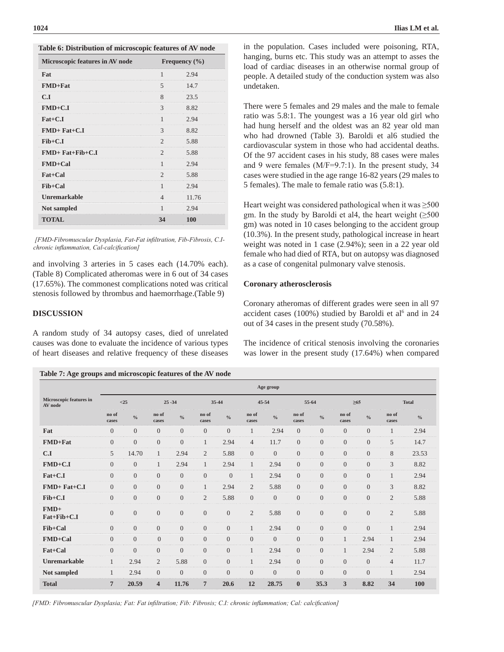| Microscopic features in AV node |                | Frequency $(\% )$ |
|---------------------------------|----------------|-------------------|
| Fat                             |                | 2.94              |
| $FMD + Fat$                     | 5              | 14.7              |
| C.I                             | 8              | 23.5              |
| $FMD+C.I$                       | 3              | 8.82              |
| $_{\rm{Fat}+C.I}$               | 1              | 2.94              |
| $FMD+ Fat+C.I$                  | 3              | 8.82              |
| $Fib+C.I$                       | 2              | 5.88              |
| $FMD+ Fat+Fib+C.I$              | $\mathfrak{D}$ | 5.88              |
| <b>FMD+Cal</b>                  |                | 2.94              |
| Fat+Cal                         |                | 5.88              |
| Fib+Cal                         | ı              | 2.94              |
| Unremarkable                    | 4              | 11.76             |
| <b>Not sampled</b>              |                | 2.94              |
| <b>TOTAL</b>                    | 34             | 100               |

 *[FMD-Fibromuscular Dysplasia, Fat-Fat infiltration, Fib-Fibrosis, C.Ichronic inflammation, Cal-calcification]*

and involving 3 arteries in 5 cases each (14.70% each). (Table 8) Complicated atheromas were in 6 out of 34 cases (17.65%). The commonest complications noted was critical stenosis followed by thrombus and haemorrhage.(Table 9)

#### **DISCUSSION**

A random study of 34 autopsy cases, died of unrelated causes was done to evaluate the incidence of various types of heart diseases and relative frequency of these diseases

|  | Table 7: Age groups and microscopic features of the AV node |  |  |
|--|-------------------------------------------------------------|--|--|
|--|-------------------------------------------------------------|--|--|

in the population. Cases included were poisoning, RTA, hanging, burns etc. This study was an attempt to asses the load of cardiac diseases in an otherwise normal group of people. A detailed study of the conduction system was also undetaken.

There were 5 females and 29 males and the male to female ratio was 5.8:1. The youngest was a 16 year old girl who had hung herself and the oldest was an 82 year old man who had drowned (Table 3). Baroldi et al6 studied the cardiovascular system in those who had accidental deaths. Of the 97 accident cases in his study, 88 cases were males and 9 were females (M/F=9.7:1). In the present study, 34 cases were studied in the age range 16-82 years (29 males to 5 females). The male to female ratio was (5.8:1).

Heart weight was considered pathological when it was  $\geq 500$ gm. In the study by Baroldi et al4, the heart weight  $(\geq 500$ gm) was noted in 10 cases belonging to the accident group (10.3%). In the present study, pathological increase in heart weight was noted in 1 case (2.94%); seen in a 22 year old female who had died of RTA, but on autopsy was diagnosed as a case of congenital pulmonary valve stenosis.

#### **Coronary atherosclerosis**

Coronary atheromas of different grades were seen in all 97 accident cases  $(100%)$  studied by Baroldi et al<sup>6</sup> and in 24 out of 34 cases in the present study (70.58%).

The incidence of critical stenosis involving the coronaries was lower in the present study (17.64%) when compared

|                                    | Age group        |                  |                         |                  |                 |                |                  |                |                  |                |                |                  |                |              |
|------------------------------------|------------------|------------------|-------------------------|------------------|-----------------|----------------|------------------|----------------|------------------|----------------|----------------|------------------|----------------|--------------|
| Microscopic features in<br>AV node |                  | <25              |                         | $25 - 34$        |                 | 35-44          |                  | $45 - 54$      | 55-64            |                | $\geq 65$      |                  |                | <b>Total</b> |
|                                    | no of<br>cases   | $\frac{0}{0}$    | no of<br>cases          | $\frac{0}{0}$    | no of<br>cases  | $^{0}/_{0}$    | no of<br>cases   | $\frac{0}{0}$  | no of<br>cases   | $\frac{0}{0}$  | no of<br>cases | $\frac{0}{0}$    | no of<br>cases | $^{0}/_{0}$  |
| Fat                                | $\overline{0}$   | $\overline{0}$   | $\overline{0}$          | $\overline{0}$   | $\mathbf{0}$    | $\overline{0}$ | 1                | 2.94           | $\overline{0}$   | $\overline{0}$ | $\overline{0}$ | $\overline{0}$   | $\mathbf{1}$   | 2.94         |
| FMD+Fat                            | $\boldsymbol{0}$ | $\boldsymbol{0}$ | $\mathbf{0}$            | $\overline{0}$   | 1               | 2.94           | $\overline{4}$   | 11.7           | $\Omega$         | $\overline{0}$ | $\overline{0}$ | $\overline{0}$   | 5              | 14.7         |
| C.I                                | 5                | 14.70            | $\mathbf{1}$            | 2.94             | $\overline{2}$  | 5.88           | $\boldsymbol{0}$ | $\overline{0}$ | $\overline{0}$   | $\overline{0}$ | $\overline{0}$ | $\overline{0}$   | 8              | 23.53        |
| $FMD+C.I$                          | $\overline{0}$   | $\overline{0}$   | $\mathbf{1}$            | 2.94             | $\mathbf{1}$    | 2.94           | $\mathbf{1}$     | 2.94           | $\overline{0}$   | $\overline{0}$ | $\overline{0}$ | $\overline{0}$   | 3              | 8.82         |
| Fat+C.I                            | $\overline{0}$   | $\boldsymbol{0}$ | $\mathbf{0}$            | $\overline{0}$   | $\overline{0}$  | $\overline{0}$ | $\mathbf{1}$     | 2.94           | $\overline{0}$   | $\overline{0}$ | $\overline{0}$ | $\boldsymbol{0}$ | $\mathbf{1}$   | 2.94         |
| $FMD+ Fat+C.I$                     | $\overline{0}$   | $\overline{0}$   | $\overline{0}$          | $\overline{0}$   | 1               | 2.94           | $\overline{2}$   | 5.88           | $\overline{0}$   | $\overline{0}$ | $\overline{0}$ | $\overline{0}$   | 3              | 8.82         |
| $Fib+C.I$                          | $\overline{0}$   | $\overline{0}$   | $\overline{0}$          | $\overline{0}$   | $\overline{2}$  | 5.88           | $\overline{0}$   | $\overline{0}$ | $\overline{0}$   | $\overline{0}$ | $\overline{0}$ | $\overline{0}$   | $\overline{2}$ | 5.88         |
| $FMD+$<br>Fat+Fib+C.I              | $\overline{0}$   | $\mathbf{0}$     | $\mathbf{0}$            | $\boldsymbol{0}$ | $\mathbf{0}$    | $\mathbf{0}$   | $\mathbf{2}$     | 5.88           | $\boldsymbol{0}$ | $\mathbf{0}$   | $\mathbf{0}$   | $\boldsymbol{0}$ | $\overline{2}$ | 5.88         |
| Fib+Cal                            | $\overline{0}$   | $\mathbf{0}$     | $\overline{0}$          | $\Omega$         | $\Omega$        | $\overline{0}$ | $\mathbf{1}$     | 2.94           | $\Omega$         | $\Omega$       | $\overline{0}$ | $\overline{0}$   | $\mathbf{1}$   | 2.94         |
| FMD+Cal                            | $\overline{0}$   | $\boldsymbol{0}$ | $\overline{0}$          | $\overline{0}$   | $\overline{0}$  | $\overline{0}$ | $\boldsymbol{0}$ | $\overline{0}$ | $\overline{0}$   | $\overline{0}$ | $\mathbf{1}$   | 2.94             | 1              | 2.94         |
| Fat+Cal                            | $\overline{0}$   | $\overline{0}$   | $\overline{0}$          | $\overline{0}$   | $\mathbf{0}$    | $\overline{0}$ | $\mathbf{1}$     | 2.94           | $\theta$         | $\overline{0}$ | $\mathbf{1}$   | 2.94             | $\overline{2}$ | 5.88         |
| <b>Unremarkable</b>                | 1                | 2.94             | $\overline{2}$          | 5.88             | $\mathbf{0}$    | $\overline{0}$ | 1                | 2.94           | $\overline{0}$   | $\overline{0}$ | $\overline{0}$ | $\mathbf{0}$     | $\overline{4}$ | 11.7         |
| Not sampled                        | 1                | 2.94             | $\overline{0}$          | $\overline{0}$   | $\mathbf{0}$    | $\overline{0}$ | $\boldsymbol{0}$ | $\overline{0}$ | $\overline{0}$   | $\overline{0}$ | $\overline{0}$ | $\overline{0}$   | $\mathbf{1}$   | 2.94         |
| <b>Total</b>                       | $\overline{7}$   | 20.59            | $\overline{\mathbf{4}}$ | 11.76            | $7\phantom{.0}$ | 20.6           | 12               | 28.75          | $\mathbf{0}$     | 35.3           | 3              | 8.82             | 34             | 100          |

*[FMD: Fibromuscular Dysplasia; Fat: Fat infiltration; Fib: Fibrosis; C.I: chronic inflammation; Cal: calcification]*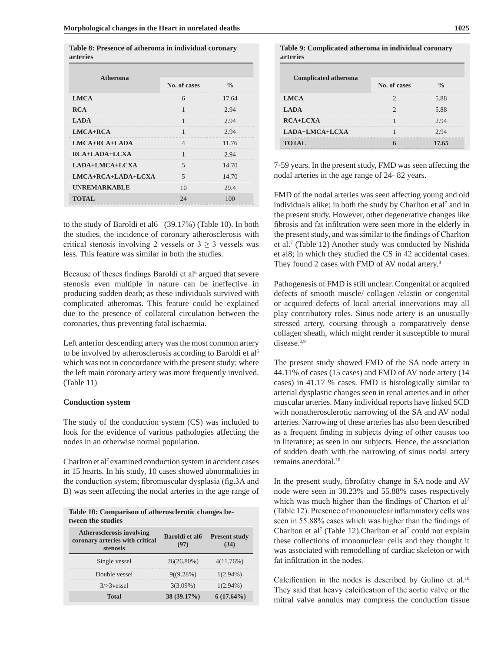| <b>Atheroma</b>    | No. of cases | $\frac{0}{\alpha}$ |  |
|--------------------|--------------|--------------------|--|
| <b>LMCA</b>        |              | 17.64              |  |
| <b>RCA</b>         |              | 2.94               |  |
| <b>LADA</b>        |              | 2.94               |  |
| $LMCA+RCA$         |              | <br>2.94           |  |
| $LMCA+RCA+LADA$    |              | 11.76              |  |
| $RCA+LADA+LCXA$    |              | 2.94               |  |
| LADA+LMCA+LCXA     |              | 14.70              |  |
| LMCA+RCA+LADA+LCXA |              | 14.70              |  |
| UNREMARKABLE       |              | 29.4               |  |
| TOTAL              |              |                    |  |

**Table 8: Presence of atheroma in individual coronary arteries**

to the study of Baroldi et al6 (39.17%) (Table 10). In both the studies, the incidence of coronary atherosclerosis with critical stenosis involving 2 vessels or  $3 \ge 3$  vessels was less. This feature was similar in both the studies.

Because of theses findings Baroldi et al<sup>6</sup> argued that severe stenosis even multiple in nature can be ineffective in producing sudden death; as these individuals survived with complicated atheromas. This feature could be explained due to the presence of collateral circulation between the coronaries, thus preventing fatal ischaemia.

Left anterior descending artery was the most common artery to be involved by atherosclerosis according to Baroldi et al<sup>6</sup> which was not in concordance with the present study; where the left main coronary artery was more frequently involved. (Table 11)

#### **Conduction system**

The study of the conduction system (CS) was included to look for the evidence of various pathologies affecting the nodes in an otherwise normal population.

Charlton et al<sup>7</sup> examined conduction system in accident cases in 15 hearts. In his study, 10 cases showed abnormalities in the conduction system; fibromuscular dysplasia (fig.3A and B) was seen affecting the nodal arteries in the age range of

| Table 10: Comparison of atherosclerotic changes be- |  |
|-----------------------------------------------------|--|
| tween the studies                                   |  |

| <b>Atherosclerosis involving</b><br>coronary arteries with critical<br>stenosis | <b>Baroldi</b> et al <sub>6</sub> | <b>Present study</b> |
|---------------------------------------------------------------------------------|-----------------------------------|----------------------|
| Single vessel                                                                   | 26(26.80%)                        | $4(11.76\%)$         |
| Double vessel                                                                   | $9(19.28\%)$                      | $1(2.94\%)$          |
| $3$ > 3 vessel                                                                  | $3(3.09\%)$                       | $1(2.94\%)$          |
| Total                                                                           | 38 (39.17%)                       | $6(17.64\%)$         |

**Table 9: Complicated atheroma in individual coronary arteries** 

| <b>Complicated atheroma</b> |              |       |
|-----------------------------|--------------|-------|
|                             | No. of cases |       |
| LMCA                        |              |       |
| LADA                        |              |       |
| $RCA+LCXA$                  |              |       |
| LADA+LMCA+LCXA              |              |       |
| <b>TOTAL</b>                |              | 17.65 |

7-59 years. In the present study, FMD was seen affecting the nodal arteries in the age range of 24- 82 years.

FMD of the nodal arteries was seen affecting young and old individuals alike; in both the study by Charlton et al<sup>7</sup> and in the present study. However, other degenerative changes like fibrosis and fat infiltration were seen more in the elderly in the present study, and was similar to the findings of Charlton et al.<sup>7</sup> (Table 12) Another study was conducted by Nishida et al8; in which they studied the CS in 42 accidental cases. They found 2 cases with FMD of AV nodal artery.<sup>8</sup>

Pathogenesis of FMD is still unclear. Congenital or acquired defects of smooth muscle/ collagen /elastin or congenital or acquired defects of local arterial innervations may all play contributory roles. Sinus node artery is an unusually stressed artery, coursing through a comparatively dense collagen sheath, which might render it susceptible to mural disease.<sup>2,9</sup>

The present study showed FMD of the SA node artery in 44.11% of cases (15 cases) and FMD of AV node artery (14 cases) in 41.17 % cases. FMD is histologically similar to arterial dysplastic changes seen in renal arteries and in other muscular arteries. Many individual reports have linked SCD with nonatherosclerotic narrowing of the SA and AV nodal arteries. Narrowing of these arteries has also been described as a frequent finding in subjects dying of other causes too in literature; as seen in our subjects. Hence, the association of sudden death with the narrowing of sinus nodal artery remains anecdotal.<sup>10</sup>

In the present study, fibrofatty change in SA node and AV node were seen in 38.23% and 55.88% cases respectively which was much higher than the findings of Charton et al<sup>7</sup> (Table 12). Presence of mononuclear inflammatory cells was seen in 55.88% cases which was higher than the findings of Charlton et al<sup>7</sup> (Table 12). Charlton et al<sup>7</sup> could not explain these collections of mononuclear cells and they thought it was associated with remodelling of cardiac skeleton or with fat infiltration in the nodes.

Calcification in the nodes is described by Gulino et al.<sup>10</sup> They said that heavy calcification of the aortic valve or the mitral valve annulus may compress the conduction tissue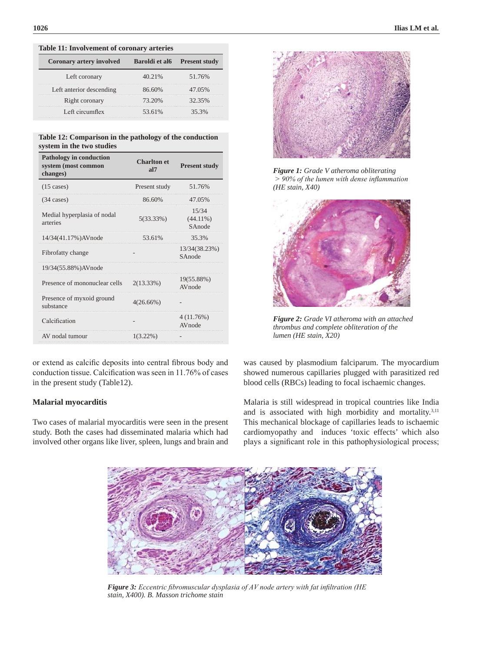| Table 11. Involvement of colonary afternes |        |                                          |
|--------------------------------------------|--------|------------------------------------------|
| <b>Coronary artery involved</b>            |        | Baroldi et al <sub>6</sub> Present study |
| Left coronary                              | 40.21% | 51.76%                                   |
| Left anterior descending                   | 86.60% | 47.05%                                   |
| Right coronary                             | 73.20% | 32.35%                                   |
| Left circumflex                            | 53.61% | 35.3%                                    |
|                                            |        |                                          |

# **Table 11: Involvement of coronary arteries**

| Table 12: Comparison in the pathology of the conduction |  |
|---------------------------------------------------------|--|
| system in the two studies                               |  |

| <b>Charlton</b> et<br>a <sub>17</sub> | <b>Present study</b>           |
|---------------------------------------|--------------------------------|
| Present study                         | 51.76%                         |
| 86.60%                                | 47.05%                         |
| $5(33.33\%)$                          | 15/34<br>$(44.11\%)$<br>SAnode |
| 53.61%                                | 35.3%                          |
|                                       | 13/34(38.23%)<br>SAnode        |
|                                       |                                |
| $2(13.33\%)$                          | 19(55.88%)<br>AVnode           |
| $4(26.66\%)$                          |                                |
|                                       | 4 (11.76%)<br>AVnode           |
| $1(3.22\%)$                           |                                |
|                                       |                                |

or extend as calcific deposits into central fibrous body and conduction tissue. Calcification was seen in 11.76% of cases in the present study (Table12).

# **Malarial myocarditis**

Two cases of malarial myocarditis were seen in the present study. Both the cases had disseminated malaria which had involved other organs like liver, spleen, lungs and brain and



*Figure 1: Grade V atheroma obliterating > 90% of the lumen with dense inflammation (HE stain, X40)*



*Figure 2: Grade VI atheroma with an attached thrombus and complete obliteration of the lumen (HE stain, X20)*

was caused by plasmodium falciparum. The myocardium showed numerous capillaries plugged with parasitized red blood cells (RBCs) leading to focal ischaemic changes.

Malaria is still widespread in tropical countries like India and is associated with high morbidity and mortality.3,11 This mechanical blockage of capillaries leads to ischaemic cardiomyopathy and induces 'toxic effects' which also plays a significant role in this pathophysiological process;



*Figure 3: Eccentric fibromuscular dysplasia of AV node artery with fat infiltration (HE stain, X400). B. Masson trichome stain*